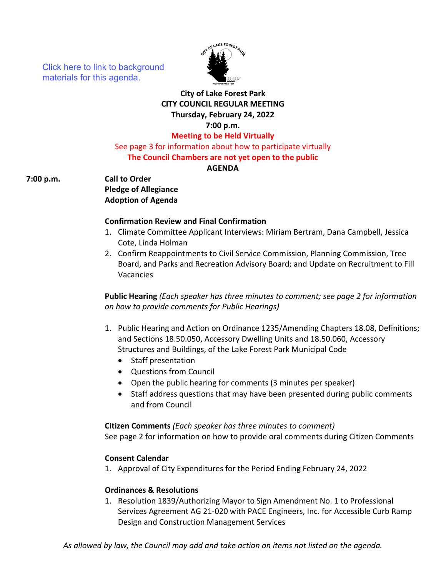[Click here to link to background](https://media.avcaptureall.cloud/meeting/940f3b3a-4e8a-4ef1-863e-1748721e1ae1) materials for this agenda.



# **City of Lake Forest Park CITY COUNCIL REGULAR MEETING Thursday, February 24, 2022 7:00 p.m.**

**Meeting to be Held Virtually**

See page 3 for information about how to participate virtually

# **The Council Chambers are not yet open to the public**

**AGENDA** 

**7:00 p.m. Call to Order**

**Pledge of Allegiance Adoption of Agenda**

#### **Confirmation Review and Final Confirmation**

- 1. Climate Committee Applicant Interviews: Miriam Bertram, Dana Campbell, Jessica Cote, Linda Holman
- 2. Confirm Reappointments to Civil Service Commission, Planning Commission, Tree Board, and Parks and Recreation Advisory Board; and Update on Recruitment to Fill Vacancies

**Public Hearing** *(Each speaker has three minutes to comment; see page 2 for information on how to provide comments for Public Hearings)*

- 1. Public Hearing and Action on Ordinance 1235/Amending Chapters 18.08, Definitions; and Sections 18.50.050, Accessory Dwelling Units and 18.50.060, Accessory Structures and Buildings, of the Lake Forest Park Municipal Code
	- Staff presentation
	- Questions from Council
	- Open the public hearing for comments (3 minutes per speaker)
	- Staff address questions that may have been presented during public comments and from Council

**Citizen Comments** *(Each speaker has three minutes to comment)* See page 2 for information on how to provide oral comments during Citizen Comments

# **Consent Calendar**

1. Approval of City Expenditures for the Period Ending February 24, 2022

#### **Ordinances & Resolutions**

1. Resolution 1839/Authorizing Mayor to Sign Amendment No. 1 to Professional Services Agreement AG 21-020 with PACE Engineers, Inc. for Accessible Curb Ramp Design and Construction Management Services

*As allowed by law, the Council may add and take action on items not listed on the agenda.*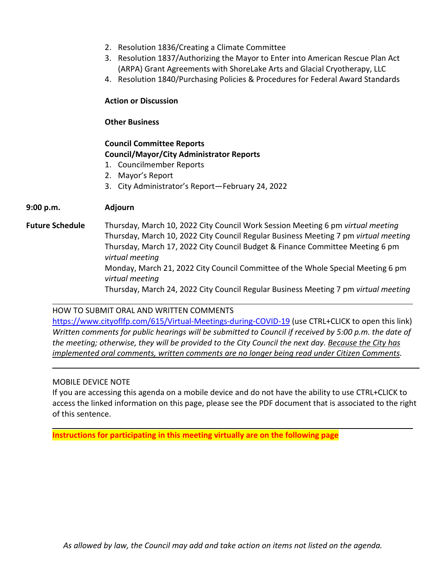- 2. Resolution 1836/Creating a Climate Committee
- 3. Resolution 1837/Authorizing the Mayor to Enter into American Rescue Plan Act (ARPA) Grant Agreements with ShoreLake Arts and Glacial Cryotherapy, LLC
- 4. Resolution 1840/Purchasing Policies & Procedures for Federal Award Standards

## **Action or Discussion**

#### **Other Business**

# **Council Committee Reports Council/Mayor/City Administrator Reports**

- 1. Councilmember Reports
- 2. Mayor's Report
- 3. City Administrator's Report—February 24, 2022

# **9:00 p.m. Adjourn**

**Future Schedule** Thursday, March 10, 2022 City Council Work Session Meeting 6 pm *virtual meeting* Thursday, March 10, 2022 City Council Regular Business Meeting 7 pm *virtual meeting* Thursday, March 17, 2022 City Council Budget & Finance Committee Meeting 6 pm *virtual meeting* Monday, March 21, 2022 City Council Committee of the Whole Special Meeting 6 pm *virtual meeting* Thursday, March 24, 2022 City Council Regular Business Meeting 7 pm *virtual meeting*

HOW TO SUBMIT ORAL AND WRITTEN COMMENTS <https://www.cityoflfp.com/615/Virtual-Meetings-during-COVID-19> (use CTRL+CLICK to open this link) *Written comments for public hearings will be submitted to Council if received by 5:00 p.m. the date of the meeting; otherwise, they will be provided to the City Council the next day. Because the City has implemented oral comments, written comments are no longer being read under Citizen Comments.*

#### MOBILE DEVICE NOTE

If you are accessing this agenda on a mobile device and do not have the ability to use CTRL+CLICK to access the linked information on this page, please see the PDF document that is associated to the right of this sentence.

**Instructions for participating in this meeting virtually are on the following page**